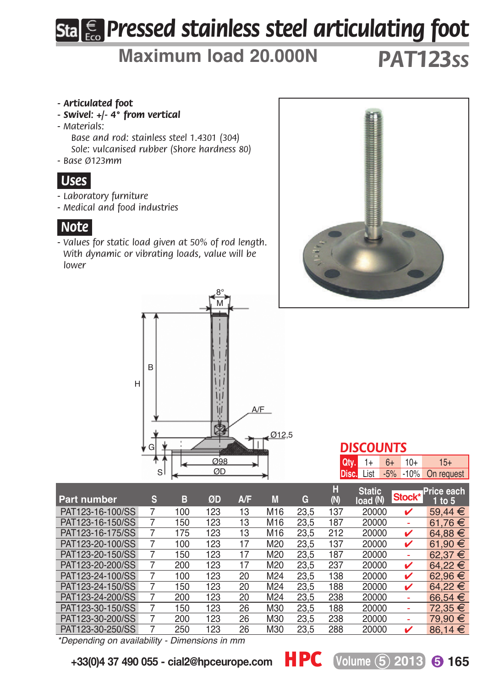# *Pressed stainless steel articulating foot*

## **Maximum load 20.000N** *pat123ss*

#### *- Articulated foot*

- *Swivel: +/- 4° from vertical*
- *Materials:*

*Base and rod: stainless steel 1.4301 (304) Sole: vulcanised rubber (Shore hardness 80)*

*- Base Ø123mm*

#### *.Uses.*

- *Laboratory furniture*
- *Medical and food industries*

#### *.Note.*

*- Values for static load given at 50% of rod length. With dynamic or vibrating loads, value will be lower*





#### *discounts*

| $Qty. 1+ 6+ 10+$ |  | $15+$                                 |
|------------------|--|---------------------------------------|
|                  |  | <b>Disc.</b> List -5% -10% On request |

| Part number      | s | в   | ØD  | A/F | M   | G    | н<br>(N) | <b>Static</b><br>load (N) | Stock* | Price each<br>1 to 5 |
|------------------|---|-----|-----|-----|-----|------|----------|---------------------------|--------|----------------------|
| PAT123-16-100/SS |   | 100 | 123 | 13  | M16 | 23.5 | 137      | 20000                     | v      | 59.44 $€$            |
| PAT123-16-150/SS |   | 150 | 123 | 13  | M16 | 23.5 | 187      | 20000                     |        | 61.76 €              |
| PAT123-16-175/SS |   | 175 | 123 | 13  | M16 | 23.5 | 212      | 20000                     | ✓      | 64.88 €              |
| PAT123-20-100/SS |   | 100 | 123 | 17  | M20 | 23.5 | 137      | 20000                     | v      | 61.90 €              |
| PAT123-20-150/SS |   | 150 | 123 | 17  | M20 | 23.5 | 187      | 20000                     | ۰      | 62.37 €              |
| PAT123-20-200/SS |   | 200 | 123 | 17  | M20 | 23.5 | 237      | 20000                     | v      | 64.22 €              |
| PAT123-24-100/SS |   | 100 | 123 | 20  | M24 | 23.5 | 138      | 20000                     | ✓      | 62.96 €              |
| PAT123-24-150/SS |   | 150 | 123 | 20  | M24 | 23.5 | 188      | 20000                     | v      | 64.22 €              |
| PAT123-24-200/SS |   | 200 | 123 | 20  | M24 | 23.5 | 238      | 20000                     | ۰      | 66.54 €              |
| PAT123-30-150/SS |   | 150 | 123 | 26  | M30 | 23.5 | 188      | 20000                     |        | 72,35 €              |
| PAT123-30-200/SS |   | 200 | 123 | 26  | M30 | 23.5 | 238      | 20000                     | ۰      | 79.90 €              |
| PAT123-30-250/SS |   | 250 | 123 | 26  | M30 | 23.5 | 288      | 20000                     | ✓      | 86.14 $\in$          |

*\*Depending on availability - Dimensions in mm*